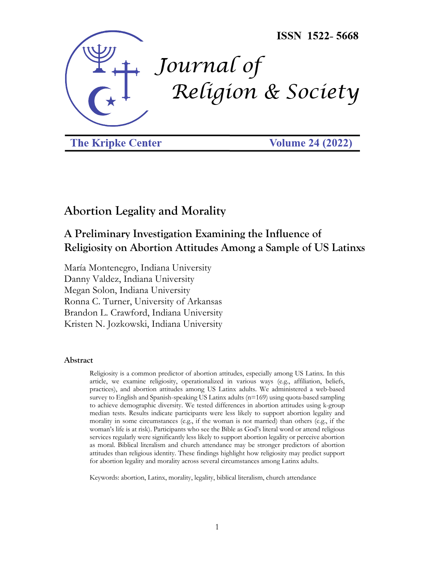

**The Kripke Center** 

**Volume 24 (2022)** 

# **Abortion Legality and Morality**

## **A Preliminary Investigation Examining the Influence of Religiosity on Abortion Attitudes Among a Sample of US Latinxs**

María Montenegro, Indiana University Danny Valdez, Indiana University Megan Solon, Indiana University Ronna C. Turner, University of Arkansas Brandon L. Crawford, Indiana University Kristen N. Jozkowski, Indiana University

## **Abstract**

Religiosity is a common predictor of abortion attitudes, especially among US Latinx. In this article, we examine religiosity, operationalized in various ways (e.g., affiliation, beliefs, practices), and abortion attitudes among US Latinx adults. We administered a web-based survey to English and Spanish-speaking US Latinx adults (n=169) using quota-based sampling to achieve demographic diversity. We tested differences in abortion attitudes using k-group median tests. Results indicate participants were less likely to support abortion legality and morality in some circumstances (e.g., if the woman is not married) than others (e.g., if the woman's life is at risk). Participants who see the Bible as God's literal word or attend religious services regularly were significantly less likely to support abortion legality or perceive abortion as moral. Biblical literalism and church attendance may be stronger predictors of abortion attitudes than religious identity. These findings highlight how religiosity may predict support for abortion legality and morality across several circumstances among Latinx adults.

Keywords: abortion, Latinx, morality, legality, biblical literalism, church attendance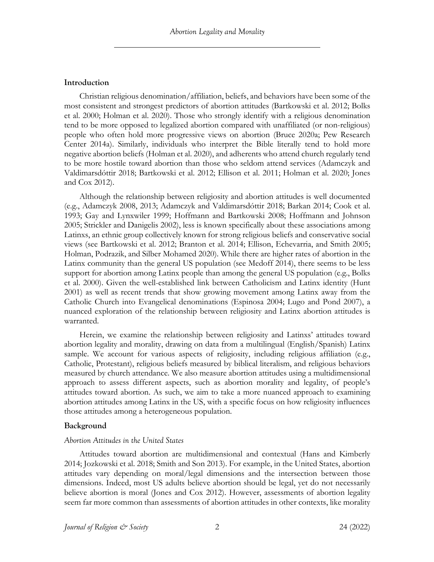## **Introduction**

Christian religious denomination/affiliation, beliefs, and behaviors have been some of the most consistent and strongest predictors of abortion attitudes (Bartkowski et al. 2012; Bolks et al. 2000; Holman et al. 2020). Those who strongly identify with a religious denomination tend to be more opposed to legalized abortion compared with unaffiliated (or non-religious) people who often hold more progressive views on abortion (Bruce 2020a; Pew Research Center 2014a). Similarly, individuals who interpret the Bible literally tend to hold more negative abortion beliefs (Holman et al. 2020), and adherents who attend church regularly tend to be more hostile toward abortion than those who seldom attend services (Adamczyk and Valdimarsdóttir 2018; Bartkowski et al. 2012; Ellison et al. 2011; Holman et al. 2020; Jones and Cox 2012).

Although the relationship between religiosity and abortion attitudes is well documented (e.g., Adamczyk 2008, 2013; Adamczyk and Valdimarsdóttir 2018; Barkan 2014; Cook et al. 1993; Gay and Lynxwiler 1999; Hoffmann and Bartkowski 2008; Hoffmann and Johnson 2005; Strickler and Danigelis 2002), less is known specifically about these associations among Latinxs, an ethnic group collectively known for strong religious beliefs and conservative social views (see Bartkowski et al. 2012; Branton et al. 2014; Ellison, Echevarria, and Smith 2005; Holman, Podrazik, and Silber Mohamed 2020). While there are higher rates of abortion in the Latinx community than the general US population (see Medoff 2014), there seems to be less support for abortion among Latinx people than among the general US population (e.g., Bolks et al. 2000). Given the well-established link between Catholicism and Latinx identity (Hunt 2001) as well as recent trends that show growing movement among Latinx away from the Catholic Church into Evangelical denominations (Espinosa 2004; Lugo and Pond 2007), a nuanced exploration of the relationship between religiosity and Latinx abortion attitudes is warranted.

Herein, we examine the relationship between religiosity and Latinxs' attitudes toward abortion legality and morality, drawing on data from a multilingual (English/Spanish) Latinx sample. We account for various aspects of religiosity, including religious affiliation (e.g., Catholic, Protestant), religious beliefs measured by biblical literalism, and religious behaviors measured by church attendance. We also measure abortion attitudes using a multidimensional approach to assess different aspects, such as abortion morality and legality, of people's attitudes toward abortion. As such, we aim to take a more nuanced approach to examining abortion attitudes among Latinx in the US, with a specific focus on how religiosity influences those attitudes among a heterogeneous population.

## **Background**

## *Abortion Attitudes in the United States*

Attitudes toward abortion are multidimensional and contextual (Hans and Kimberly 2014; Jozkowski et al. 2018; Smith and Son 2013). For example, in the United States, abortion attitudes vary depending on moral/legal dimensions and the intersection between those dimensions. Indeed, most US adults believe abortion should be legal, yet do not necessarily believe abortion is moral (Jones and Cox 2012). However, assessments of abortion legality seem far more common than assessments of abortion attitudes in other contexts, like morality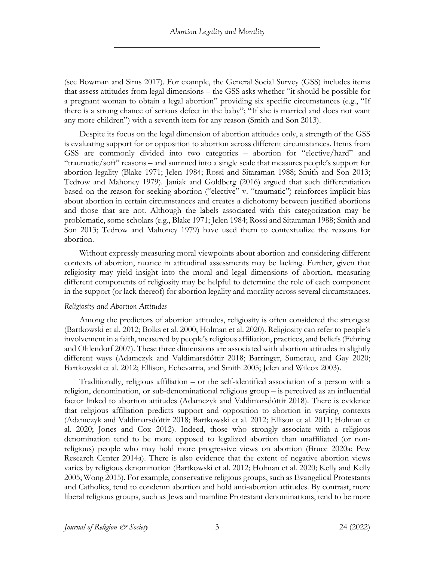(see Bowman and Sims 2017). For example, the General Social Survey (GSS) includes items that assess attitudes from legal dimensions – the GSS asks whether "it should be possible for a pregnant woman to obtain a legal abortion" providing six specific circumstances (e.g., "If there is a strong chance of serious defect in the baby"; "If she is married and does not want any more children") with a seventh item for any reason (Smith and Son 2013).

Despite its focus on the legal dimension of abortion attitudes only, a strength of the GSS is evaluating support for or opposition to abortion across different circumstances. Items from GSS are commonly divided into two categories – abortion for "elective/hard" and "traumatic/soft" reasons – and summed into a single scale that measures people's support for abortion legality (Blake 1971; Jelen 1984; Rossi and Sitaraman 1988; Smith and Son 2013; Tedrow and Mahoney 1979). Janiak and Goldberg (2016) argued that such differentiation based on the reason for seeking abortion ("elective" v. "traumatic") reinforces implicit bias about abortion in certain circumstances and creates a dichotomy between justified abortions and those that are not. Although the labels associated with this categorization may be problematic, some scholars (e.g., Blake 1971; Jelen 1984; Rossi and Sitaraman 1988; Smith and Son 2013; Tedrow and Mahoney 1979) have used them to contextualize the reasons for abortion.

Without expressly measuring moral viewpoints about abortion and considering different contexts of abortion, nuance in attitudinal assessments may be lacking. Further, given that religiosity may yield insight into the moral and legal dimensions of abortion, measuring different components of religiosity may be helpful to determine the role of each component in the support (or lack thereof) for abortion legality and morality across several circumstances.

#### *Religiosity and Abortion Attitudes*

Among the predictors of abortion attitudes, religiosity is often considered the strongest (Bartkowski et al. 2012; Bolks et al. 2000; Holman et al. 2020). Religiosity can refer to people's involvement in a faith, measured by people's religious affiliation, practices, and beliefs (Fehring and Ohlendorf 2007). These three dimensions are associated with abortion attitudes in slightly different ways (Adamczyk and Valdimarsdóttir 2018; Barringer, Sumerau, and Gay 2020; Bartkowski et al. 2012; Ellison, Echevarria, and Smith 2005; Jelen and Wilcox 2003).

Traditionally, religious affiliation – or the self-identified association of a person with a religion, denomination, or sub-denominational religious group – is perceived as an influential factor linked to abortion attitudes (Adamczyk and Valdimarsdóttir 2018). There is evidence that religious affiliation predicts support and opposition to abortion in varying contexts (Adamczyk and Valdimarsdóttir 2018; Bartkowski et al. 2012; Ellison et al. 2011; Holman et al. 2020; Jones and Cox 2012). Indeed, those who strongly associate with a religious denomination tend to be more opposed to legalized abortion than unaffiliated (or nonreligious) people who may hold more progressive views on abortion (Bruce 2020a; Pew Research Center 2014a). There is also evidence that the extent of negative abortion views varies by religious denomination (Bartkowski et al. 2012; Holman et al. 2020; Kelly and Kelly 2005; Wong 2015). For example, conservative religious groups, such as Evangelical Protestants and Catholics, tend to condemn abortion and hold anti-abortion attitudes. By contrast, more liberal religious groups, such as Jews and mainline Protestant denominations, tend to be more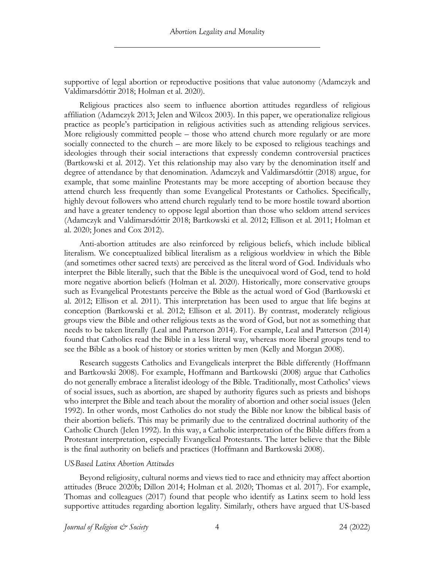supportive of legal abortion or reproductive positions that value autonomy (Adamczyk and Valdimarsdóttir 2018; Holman et al. 2020).

Religious practices also seem to influence abortion attitudes regardless of religious affiliation (Adamczyk 2013; Jelen and Wilcox 2003). In this paper, we operationalize religious practice as people's participation in religious activities such as attending religious services. More religiously committed people – those who attend church more regularly or are more socially connected to the church – are more likely to be exposed to religious teachings and ideologies through their social interactions that expressly condemn controversial practices (Bartkowski et al. 2012). Yet this relationship may also vary by the denomination itself and degree of attendance by that denomination. Adamczyk and Valdimarsdóttir (2018) argue, for example, that some mainline Protestants may be more accepting of abortion because they attend church less frequently than some Evangelical Protestants or Catholics. Specifically, highly devout followers who attend church regularly tend to be more hostile toward abortion and have a greater tendency to oppose legal abortion than those who seldom attend services (Adamczyk and Valdimarsdóttir 2018; Bartkowski et al. 2012; Ellison et al. 2011; Holman et al. 2020; Jones and Cox 2012).

Anti-abortion attitudes are also reinforced by religious beliefs, which include biblical literalism. We conceptualized biblical literalism as a religious worldview in which the Bible (and sometimes other sacred texts) are perceived as the literal word of God. Individuals who interpret the Bible literally, such that the Bible is the unequivocal word of God, tend to hold more negative abortion beliefs (Holman et al. 2020). Historically, more conservative groups such as Evangelical Protestants perceive the Bible as the actual word of God (Bartkowski et al. 2012; Ellison et al. 2011). This interpretation has been used to argue that life begins at conception (Bartkowski et al. 2012; Ellison et al. 2011). By contrast, moderately religious groups view the Bible and other religious texts as the word of God, but not as something that needs to be taken literally (Leal and Patterson 2014). For example, Leal and Patterson (2014) found that Catholics read the Bible in a less literal way, whereas more liberal groups tend to see the Bible as a book of history or stories written by men (Kelly and Morgan 2008).

Research suggests Catholics and Evangelicals interpret the Bible differently (Hoffmann and Bartkowski 2008). For example, Hoffmann and Bartkowski (2008) argue that Catholics do not generally embrace a literalist ideology of the Bible. Traditionally, most Catholics' views of social issues, such as abortion, are shaped by authority figures such as priests and bishops who interpret the Bible and teach about the morality of abortion and other social issues (Jelen 1992). In other words, most Catholics do not study the Bible nor know the biblical basis of their abortion beliefs. This may be primarily due to the centralized doctrinal authority of the Catholic Church (Jelen 1992). In this way, a Catholic interpretation of the Bible differs from a Protestant interpretation, especially Evangelical Protestants. The latter believe that the Bible is the final authority on beliefs and practices (Hoffmann and Bartkowski 2008).

#### *US-Based Latinx Abortion Attitudes*

Beyond religiosity, cultural norms and views tied to race and ethnicity may affect abortion attitudes (Bruce 2020b; Dillon 2014; Holman et al. 2020; Thomas et al. 2017). For example, Thomas and colleagues (2017) found that people who identify as Latinx seem to hold less supportive attitudes regarding abortion legality. Similarly, others have argued that US-based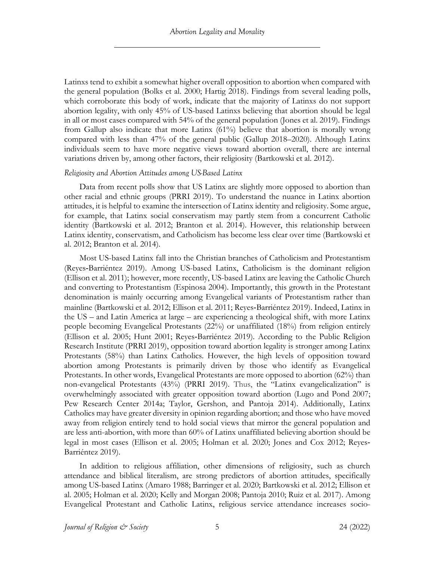Latinxs tend to exhibit a somewhat higher overall opposition to abortion when compared with the general population (Bolks et al. 2000; Hartig 2018). Findings from several leading polls, which corroborate this body of work, indicate that the majority of Latinxs do not support abortion legality, with only 45% of US-based Latinxs believing that abortion should be legal in all or most cases compared with 54% of the general population (Jones et al. 2019). Findings from Gallup also indicate that more Latinx (61%) believe that abortion is morally wrong compared with less than 47% of the general public (Gallup 2018–2020). Although Latinx individuals seem to have more negative views toward abortion overall, there are internal variations driven by, among other factors, their religiosity (Bartkowski et al. 2012).

#### *Religiosity and Abortion Attitudes among US-Based Latinx*

Data from recent polls show that US Latinx are slightly more opposed to abortion than other racial and ethnic groups (PRRI 2019). To understand the nuance in Latinx abortion attitudes, it is helpful to examine the intersection of Latinx identity and religiosity. Some argue, for example, that Latinx social conservatism may partly stem from a concurrent Catholic identity (Bartkowski et al. 2012; Branton et al. 2014). However, this relationship between Latinx identity, conservatism, and Catholicism has become less clear over time (Bartkowski et al. 2012; Branton et al. 2014).

Most US-based Latinx fall into the Christian branches of Catholicism and Protestantism (Reyes‐Barriéntez 2019). Among US-based Latinx, Catholicism is the dominant religion (Ellison et al. 2011); however, more recently, US-based Latinx are leaving the Catholic Church and converting to Protestantism (Espinosa 2004). Importantly, this growth in the Protestant denomination is mainly occurring among Evangelical variants of Protestantism rather than mainline (Bartkowski et al. 2012; Ellison et al. 2011; Reyes‐Barriéntez 2019). Indeed, Latinx in the US – and Latin America at large – are experiencing a theological shift, with more Latinx people becoming Evangelical Protestants (22%) or unaffiliated (18%) from religion entirely (Ellison et al. 2005; Hunt 2001; Reyes‐Barriéntez 2019). According to the Public Religion Research Institute (PRRI 2019), opposition toward abortion legality is stronger among Latinx Protestants (58%) than Latinx Catholics. However, the high levels of opposition toward abortion among Protestants is primarily driven by those who identify as Evangelical Protestants. In other words, Evangelical Protestants are more opposed to abortion (62%) than non-evangelical Protestants (43%) (PRRI 2019). Thus, the "Latinx evangelicalization" is overwhelmingly associated with greater opposition toward abortion (Lugo and Pond 2007; Pew Research Center 2014a; Taylor, Gershon, and Pantoja 2014). Additionally, Latinx Catholics may have greater diversity in opinion regarding abortion; and those who have moved away from religion entirely tend to hold social views that mirror the general population and are less anti-abortion, with more than 60% of Latinx unaffiliated believing abortion should be legal in most cases (Ellison et al. 2005; Holman et al. 2020; Jones and Cox 2012; Reves-Barriéntez 2019).

In addition to religious affiliation, other dimensions of religiosity, such as church attendance and biblical literalism, are strong predictors of abortion attitudes, specifically among US-based Latinx (Amaro 1988; Barringer et al. 2020; Bartkowski et al. 2012; Ellison et al. 2005; Holman et al. 2020; Kelly and Morgan 2008; Pantoja 2010; Ruiz et al. 2017). Among Evangelical Protestant and Catholic Latinx, religious service attendance increases socio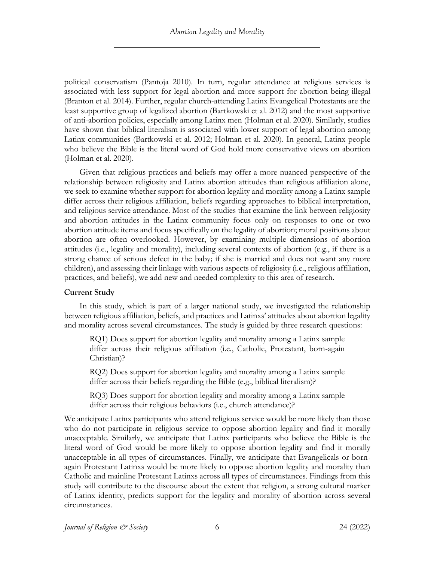political conservatism (Pantoja 2010). In turn, regular attendance at religious services is associated with less support for legal abortion and more support for abortion being illegal (Branton et al. 2014). Further, regular church-attending Latinx Evangelical Protestants are the least supportive group of legalized abortion (Bartkowski et al. 2012) and the most supportive of anti-abortion policies, especially among Latinx men (Holman et al. 2020). Similarly, studies have shown that biblical literalism is associated with lower support of legal abortion among Latinx communities (Bartkowski et al. 2012; Holman et al. 2020). In general, Latinx people who believe the Bible is the literal word of God hold more conservative views on abortion (Holman et al. 2020).

Given that religious practices and beliefs may offer a more nuanced perspective of the relationship between religiosity and Latinx abortion attitudes than religious affiliation alone, we seek to examine whether support for abortion legality and morality among a Latinx sample differ across their religious affiliation, beliefs regarding approaches to biblical interpretation, and religious service attendance. Most of the studies that examine the link between religiosity and abortion attitudes in the Latinx community focus only on responses to one or two abortion attitude items and focus specifically on the legality of abortion; moral positions about abortion are often overlooked. However, by examining multiple dimensions of abortion attitudes (i.e., legality and morality), including several contexts of abortion (e.g., if there is a strong chance of serious defect in the baby; if she is married and does not want any more children), and assessing their linkage with various aspects of religiosity (i.e., religious affiliation, practices, and beliefs), we add new and needed complexity to this area of research.

## **Current Study**

In this study, which is part of a larger national study, we investigated the relationship between religious affiliation, beliefs, and practices and Latinxs' attitudes about abortion legality and morality across several circumstances. The study is guided by three research questions:

RQ1) Does support for abortion legality and morality among a Latinx sample differ across their religious affiliation (i.e., Catholic, Protestant, born-again Christian)?

RQ2) Does support for abortion legality and morality among a Latinx sample differ across their beliefs regarding the Bible (e.g., biblical literalism)?

RQ3) Does support for abortion legality and morality among a Latinx sample differ across their religious behaviors (i.e., church attendance)?

We anticipate Latinx participants who attend religious service would be more likely than those who do not participate in religious service to oppose abortion legality and find it morally unacceptable. Similarly, we anticipate that Latinx participants who believe the Bible is the literal word of God would be more likely to oppose abortion legality and find it morally unacceptable in all types of circumstances. Finally, we anticipate that Evangelicals or bornagain Protestant Latinxs would be more likely to oppose abortion legality and morality than Catholic and mainline Protestant Latinxs across all types of circumstances. Findings from this study will contribute to the discourse about the extent that religion, a strong cultural marker of Latinx identity, predicts support for the legality and morality of abortion across several circumstances.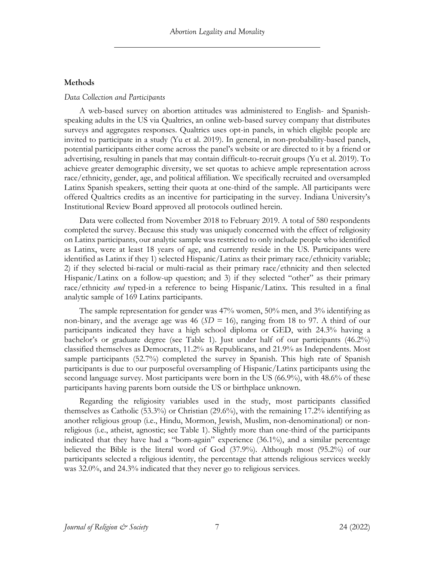## **Methods**

#### *Data Collection and Participants*

A web-based survey on abortion attitudes was administered to English- and Spanishspeaking adults in the US via Qualtrics, an online web-based survey company that distributes surveys and aggregates responses. Qualtrics uses opt-in panels, in which eligible people are invited to participate in a study (Yu et al. 2019). In general, in non-probability-based panels, potential participants either come across the panel's website or are directed to it by a friend or advertising, resulting in panels that may contain difficult-to-recruit groups (Yu et al. 2019). To achieve greater demographic diversity, we set quotas to achieve ample representation across race/ethnicity, gender, age, and political affiliation. We specifically recruited and oversampled Latinx Spanish speakers, setting their quota at one-third of the sample. All participants were offered Qualtrics credits as an incentive for participating in the survey. Indiana University's Institutional Review Board approved all protocols outlined herein.

Data were collected from November 2018 to February 2019. A total of 580 respondents completed the survey. Because this study was uniquely concerned with the effect of religiosity on Latinx participants, our analytic sample was restricted to only include people who identified as Latinx, were at least 18 years of age, and currently reside in the US. Participants were identified as Latinx if they 1) selected Hispanic/Latinx as their primary race/ethnicity variable; 2) if they selected bi-racial or multi-racial as their primary race/ethnicity and then selected Hispanic/Latinx on a follow-up question; and 3) if they selected "other" as their primary race/ethnicity *and* typed-in a reference to being Hispanic/Latinx. This resulted in a final analytic sample of 169 Latinx participants.

The sample representation for gender was 47% women, 50% men, and 3% identifying as non-binary, and the average age was 46 ( $SD = 16$ ), ranging from 18 to 97. A third of our participants indicated they have a high school diploma or GED, with 24.3% having a bachelor's or graduate degree (see Table 1). Just under half of our participants (46.2%) classified themselves as Democrats, 11.2% as Republicans, and 21.9% as Independents. Most sample participants (52.7%) completed the survey in Spanish. This high rate of Spanish participants is due to our purposeful oversampling of Hispanic/Latinx participants using the second language survey. Most participants were born in the US (66.9%), with 48.6% of these participants having parents born outside the US or birthplace unknown.

Regarding the religiosity variables used in the study, most participants classified themselves as Catholic (53.3%) or Christian (29.6%), with the remaining 17.2% identifying as another religious group (i.e., Hindu, Mormon, Jewish, Muslim, non-denominational) or nonreligious (i.e., atheist, agnostic; see Table 1). Slightly more than one-third of the participants indicated that they have had a "born-again" experience (36.1%), and a similar percentage believed the Bible is the literal word of God (37.9%). Although most (95.2%) of our participants selected a religious identity, the percentage that attends religious services weekly was 32.0%, and 24.3% indicated that they never go to religious services.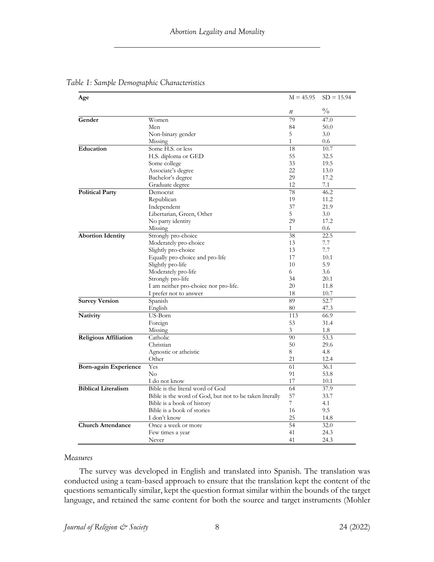| Age                          |                                                         | $M = 45.95$  | $SD = 15.94$  |
|------------------------------|---------------------------------------------------------|--------------|---------------|
|                              |                                                         | п            | $\frac{0}{0}$ |
| Gender                       | Women                                                   | 79           | 47.0          |
|                              | Men                                                     | 84           | 50.0          |
|                              | Non-binary gender                                       | 5            | 3.0           |
|                              | Missing                                                 | $\mathbf{1}$ | 0.6           |
| Education                    | Some H.S. or less                                       | 18           | 10.7          |
|                              | H.S. diploma or GED                                     | 55           | 32.5          |
|                              | Some college                                            | 33           | 19.5          |
|                              | Associate's degree                                      | 22           | 13.0          |
|                              | Bachelor's degree                                       | 29           | 17.2          |
|                              | Graduate degree                                         | 12           | 7.1           |
| <b>Political Party</b>       | Democrat                                                | 78           | 46.2          |
|                              | Republican                                              | 19           | 11.2          |
|                              | Independent                                             | 37           | 21.9          |
|                              | Libertarian, Green, Other                               | 5            | 3.0           |
|                              | No party identity                                       | 29           | 17.2          |
|                              | Missing                                                 | 1            | 0.6           |
| <b>Abortion Identity</b>     | Strongly pro-choice                                     | 38           | 22.5          |
|                              | Moderately pro-choice                                   | 13           | 7.7           |
|                              | Slightly pro-choice                                     | 13           | 7.7           |
|                              | Equally pro-choice and pro-life                         | 17           | 10.1          |
|                              | Slightly pro-life                                       | 10           | 5.9           |
|                              | Moderately pro-life                                     | 6            | 3.6           |
|                              | Strongly pro-life                                       | 34           | 20.1          |
|                              | I am neither pro-choice nor pro-life.                   | 20           | 11.8          |
|                              | I prefer not to answer                                  | 18           | 10.7          |
| <b>Survey Version</b>        | Spanish                                                 | 89           | 52.7          |
|                              | English                                                 | 80           | 47.3          |
| Nativity                     | US-Born                                                 | 113          | 66.9          |
|                              | Foreign                                                 | 53           | 31.4          |
|                              | Missing                                                 | 3            | 1.8           |
| <b>Religious Affiliation</b> | Catholic                                                | 90           | 53.3          |
|                              | Christian                                               | 50           | 29.6          |
|                              | Agnostic or atheistic                                   | 8            | 4.8           |
|                              | Other                                                   | 21           | 12.4          |
| <b>Born-again Experience</b> | Yes                                                     | 61           | 36.1          |
|                              | $\rm No$                                                | 91           | 53.8          |
|                              | I do not know                                           | 17           | 10.1          |
| <b>Biblical Literalism</b>   | Bible is the literal word of God                        | 64           | 37.9          |
|                              | Bible is the word of God, but not to be taken literally | 57           | 33.7          |
|                              | Bible is a book of history                              | 7            | 4.1           |
|                              | Bible is a book of stories                              | 16           | 9.5           |
|                              | I don't know                                            | 25           |               |
|                              |                                                         |              | 14.8          |
| <b>Church Attendance</b>     | Once a week or more                                     | 54           | 32.0          |
|                              | Few times a year                                        | 41           | 24.3          |
|                              | Never                                                   | 41           | 24.3          |

*Table 1: Sample Demographic Characteristics*

#### *Measures*

The survey was developed in English and translated into Spanish. The translation was conducted using a team-based approach to ensure that the translation kept the content of the questions semantically similar, kept the question format similar within the bounds of the target language, and retained the same content for both the source and target instruments (Mohler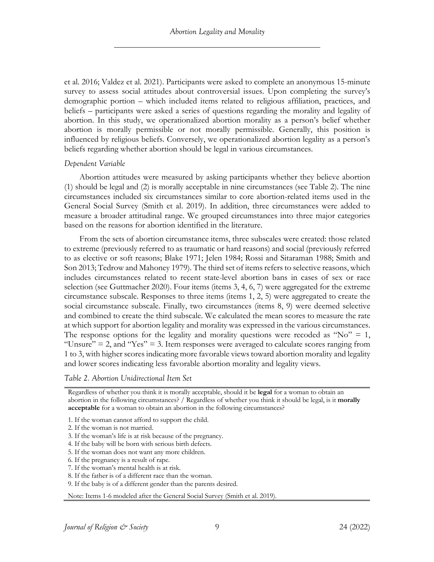et al. 2016; Valdez et al. 2021). Participants were asked to complete an anonymous 15-minute survey to assess social attitudes about controversial issues. Upon completing the survey's demographic portion – which included items related to religious affiliation, practices, and beliefs – participants were asked a series of questions regarding the morality and legality of abortion. In this study, we operationalized abortion morality as a person's belief whether abortion is morally permissible or not morally permissible. Generally, this position is influenced by religious beliefs. Conversely, we operationalized abortion legality as a person's beliefs regarding whether abortion should be legal in various circumstances.

## *Dependent Variable*

Abortion attitudes were measured by asking participants whether they believe abortion (1) should be legal and (2) is morally acceptable in nine circumstances (see Table 2). The nine circumstances included six circumstances similar to core abortion-related items used in the General Social Survey (Smith et al. 2019). In addition, three circumstances were added to measure a broader attitudinal range. We grouped circumstances into three major categories based on the reasons for abortion identified in the literature.

From the sets of abortion circumstance items, three subscales were created: those related to extreme (previously referred to as traumatic or hard reasons) and social (previously referred to as elective or soft reasons; Blake 1971; Jelen 1984; Rossi and Sitaraman 1988; Smith and Son 2013; Tedrow and Mahoney 1979). The third set of items refers to selective reasons, which includes circumstances related to recent state-level abortion bans in cases of sex or race selection (see Guttmacher 2020). Four items (items 3, 4, 6, 7) were aggregated for the extreme circumstance subscale. Responses to three items (items 1, 2, 5) were aggregated to create the social circumstance subscale. Finally, two circumstances (items 8, 9) were deemed selective and combined to create the third subscale. We calculated the mean scores to measure the rate at which support for abortion legality and morality was expressed in the various circumstances. The response options for the legality and morality questions were recoded as "No"  $= 1$ , "Unsure"  $= 2$ , and "Yes"  $= 3$ . Item responses were averaged to calculate scores ranging from 1 to 3, with higher scores indicating more favorable views toward abortion morality and legality and lower scores indicating less favorable abortion morality and legality views.

*Table 2. Abortion Unidirectional Item Set*

Regardless of whether you think it is morally acceptable, should it be **legal** for a woman to obtain an abortion in the following circumstances? / Regardless of whether you think it should be legal, is it **morally acceptable** for a woman to obtain an abortion in the following circumstances?

- 1. If the woman cannot afford to support the child.
- 2. If the woman is not married.
- 3. If the woman's life is at risk because of the pregnancy.
- 4. If the baby will be born with serious birth defects.
- 5. If the woman does not want any more children.
- 6. If the pregnancy is a result of rape.
- 7. If the woman's mental health is at risk.
- 8. If the father is of a different race than the woman.
- 9. If the baby is of a different gender than the parents desired.

Note: Items 1-6 modeled after the General Social Survey (Smith et al. 2019).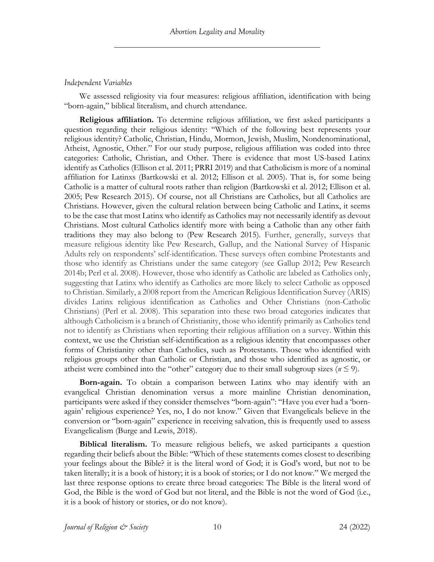## *Independent Variables*

We assessed religiosity via four measures: religious affiliation, identification with being "born-again," biblical literalism, and church attendance.

**Religious affiliation.** To determine religious affiliation, we first asked participants a question regarding their religious identity: "Which of the following best represents your religious identity? Catholic, Christian, Hindu, Mormon, Jewish, Muslim, Nondenominational, Atheist, Agnostic, Other." For our study purpose, religious affiliation was coded into three categories: Catholic, Christian, and Other. There is evidence that most US-based Latinx identify as Catholics (Ellison et al. 2011; PRRI 2019) and that Catholicism is more of a nominal affiliation for Latinxs (Bartkowski et al. 2012; Ellison et al. 2005). That is, for some being Catholic is a matter of cultural roots rather than religion (Bartkowski et al. 2012; Ellison et al. 2005; Pew Research 2015). Of course, not all Christians are Catholics, but all Catholics are Christians. However, given the cultural relation between being Catholic and Latinx, it seems to be the case that most Latinx who identify as Catholics may not necessarily identify as devout Christians. Most cultural Catholics identify more with being a Catholic than any other faith traditions they may also belong to (Pew Research 2015). Further, generally, surveys that measure religious identity like Pew Research, Gallup, and the National Survey of Hispanic Adults rely on respondents' self-identification. These surveys often combine Protestants and those who identify as Christians under the same category (see Gallup 2012; Pew Research 2014b; Perl et al. 2008). However, those who identify as Catholic are labeled as Catholics only, suggesting that Latinx who identify as Catholics are more likely to select Catholic as opposed to Christian. Similarly, a 2008 report from the American Religious Identification Survey (ARIS) divides Latinx religious identification as Catholics and Other Christians (non-Catholic Christians) (Perl et al. 2008). This separation into these two broad categories indicates that although Catholicism is a branch of Christianity, those who identify primarily as Catholics tend not to identify as Christians when reporting their religious affiliation on a survey. Within this context, we use the Christian self-identification as a religious identity that encompasses other forms of Christianity other than Catholics, such as Protestants. Those who identified with religious groups other than Catholic or Christian, and those who identified as agnostic, or atheist were combined into the "other" category due to their small subgroup sizes ( $n \leq 9$ ).

**Born-again.** To obtain a comparison between Latinx who may identify with an evangelical Christian denomination versus a more mainline Christian denomination, participants were asked if they consider themselves "born-again": "Have you ever had a 'bornagain' religious experience? Yes, no, I do not know." Given that Evangelicals believe in the conversion or "born-again" experience in receiving salvation, this is frequently used to assess Evangelicalism (Burge and Lewis, 2018).

**Biblical literalism.** To measure religious beliefs, we asked participants a question regarding their beliefs about the Bible: "Which of these statements comes closest to describing your feelings about the Bible? it is the literal word of God; it is God's word, but not to be taken literally; it is a book of history; it is a book of stories; or I do not know." We merged the last three response options to create three broad categories: The Bible is the literal word of God, the Bible is the word of God but not literal, and the Bible is not the word of God (i.e., it is a book of history or stories, or do not know).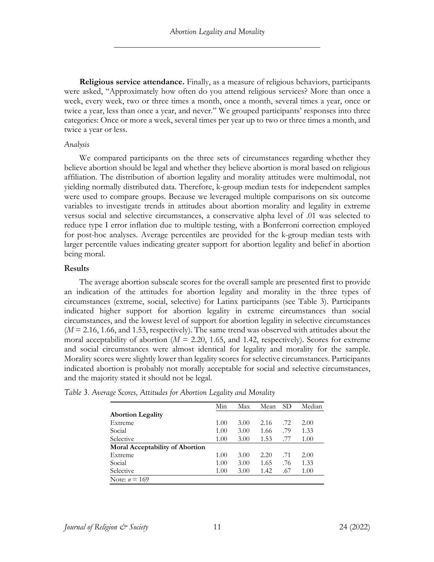**Religious service attendance.** Finally, as a measure of religious behaviors, participants were asked, "Approximately how often do you attend religious services? More than once a week, every week, two or three times a month, once a month, several times a year, once or twice a year, less than once a year, and never." We grouped participants' responses into three categories: Once or more a week, several times per year up to two or three times a month, and twice a year or less.

#### *Analysis*

We compared participants on the three sets of circumstances regarding whether they believe abortion should be legal and whether they believe abortion is moral based on religious affiliation. The distribution of abortion legality and morality attitudes were multimodal, not yielding normally distributed data. Therefore, k-group median tests for independent samples were used to compare groups. Because we leveraged multiple comparisons on six outcome variables to investigate trends in attitudes about abortion morality and legality in extreme versus social and selective circumstances, a conservative alpha level of .01 was selected to reduce type I error inflation due to multiple testing, with a Bonferroni correction employed for post-hoc analyses. Average percentiles are provided for the k-group median tests with larger percentile values indicating greater support for abortion legality and belief in abortion being moral.

## **Results**

The average abortion subscale scores for the overall sample are presented first to provide an indication of the attitudes for abortion legality and morality in the three types of circumstances (extreme, social, selective) for Latinx participants (see Table 3). Participants indicated higher support for abortion legality in extreme circumstances than social circumstances, and the lowest level of support for abortion legality in selective circumstances (*M* = 2.16, 1.66, and 1.53, respectively). The same trend was observed with attitudes about the moral acceptability of abortion  $(M = 2.20, 1.65,$  and 1.42, respectively). Scores for extreme and social circumstances were almost identical for legality and morality for the sample. Morality scores were slightly lower than legality scores for selective circumstances. Participants indicated abortion is probably not morally acceptable for social and selective circumstances, and the majority stated it should not be legal.

|                                        | Min  | Max  | Mean | SD. | Median |
|----------------------------------------|------|------|------|-----|--------|
| <b>Abortion Legality</b>               |      |      |      |     |        |
| Extreme                                | 1.00 | 3.00 | 2.16 | .72 | 2.00   |
| Social                                 | 1.00 | 3.00 | 1.66 | .79 | 1.33   |
| Selective                              | 1.00 | 3.00 | 1.53 | .77 | 1.00   |
| <b>Moral Acceptability of Abortion</b> |      |      |      |     |        |
| Extreme                                | 1.00 | 3.00 | 2.20 | .71 | 2.00   |
| Social                                 | 1.00 | 3.00 | 1.65 | .76 | 1.33   |
| Selective                              | 1.00 | 3.00 | 1.42 | .67 | 1.00   |
| Note: $n = 169$                        |      |      |      |     |        |

*Table 3. Average Scores, Attitudes for Abortion Legality and Morality*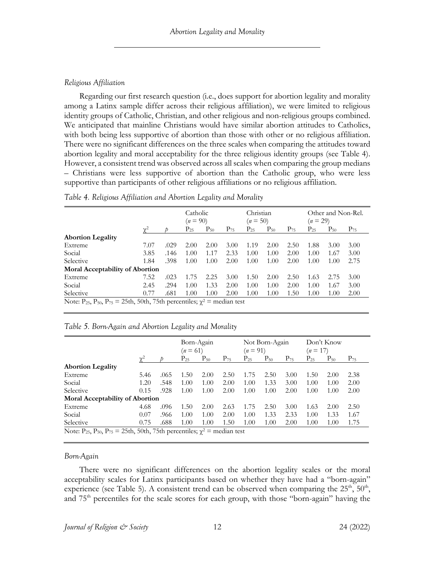## *Religious Affiliation*

Regarding our first research question (i.e., does support for abortion legality and morality among a Latinx sample differ across their religious affiliation), we were limited to religious identity groups of Catholic, Christian, and other religious and non-religious groups combined. We anticipated that mainline Christians would have similar abortion attitudes to Catholics, with both being less supportive of abortion than those with other or no religious affiliation. There were no significant differences on the three scales when comparing the attitudes toward abortion legality and moral acceptability for the three religious identity groups (see Table 4). However, a consistent trend was observed across all scales when comparing the group medians – Christians were less supportive of abortion than the Catholic group, who were less supportive than participants of other religious affiliations or no religious affiliation.

|                                                                                                                  |      |      | Catholic<br>$(n = 90)$ |          |          | Christian<br>$(n = 50)$ |          |          | $(n=29)$ | Other and Non-Rel. |          |
|------------------------------------------------------------------------------------------------------------------|------|------|------------------------|----------|----------|-------------------------|----------|----------|----------|--------------------|----------|
|                                                                                                                  |      |      | $P_{25}$               | $P_{50}$ | $P_{75}$ | $P_{25}$                | $P_{50}$ | $P_{75}$ | $P_{25}$ | $P_{50}$           | $P_{75}$ |
| <b>Abortion Legality</b>                                                                                         |      |      |                        |          |          |                         |          |          |          |                    |          |
| Extreme                                                                                                          | 7.07 | .029 | 2.00                   | 2.00     | 3.00     | 1.19                    | 2.00     | 2.50     | 1.88     | 3.00               | 3.00     |
| Social                                                                                                           | 3.85 | .146 | 1.00                   | 1.17     | 2.33     | 1.00                    | 1.00     | 2.00     | 1.00     | 1.67               | 3.00     |
| Selective                                                                                                        | 1.84 | .398 | 1.00                   | 1.00     | 2.00     | 1.00                    | 1.00     | 2.00     | 1.00     | 1.00               | 2.75     |
| <b>Moral Acceptability of Abortion</b>                                                                           |      |      |                        |          |          |                         |          |          |          |                    |          |
| Extreme                                                                                                          | 7.52 | .023 | 1.75                   | 2.25     | 3.00     | 1.50                    | 2.00     | 2.50     | 1.63     | 2.75               | 3.00     |
| Social                                                                                                           | 2.45 | .294 | 1.00                   | 1.33     | 2.00     | 1.00                    | 1.00     | 2.00     | 1.00     | 1.67               | 3.00     |
| Selective                                                                                                        | 0.77 | .681 | 1.00                   | 1.00     | 2.00     | 1.00                    | 1.00     | 1.50     | 1.00     | 1.00               | 2.00     |
| Note: P <sub>25</sub> , P <sub>50</sub> , P <sub>75</sub> = 25th, 50th, 75th percentiles; $\chi^2$ = median test |      |      |                        |          |          |                         |          |          |          |                    |          |

*Table 4. Religious Affiliation and Abortion Legality and Morality*

|  |  | Table 5. Born-Again and Abortion Legality and Morality |
|--|--|--------------------------------------------------------|
|  |  |                                                        |

|                                                                                                                  |                 |      | Born-Again<br>$(n = 61)$ |          |          | $(n = 91)$ | Not Born-Again |          | $(n = 17)$ | Don't Know |          |
|------------------------------------------------------------------------------------------------------------------|-----------------|------|--------------------------|----------|----------|------------|----------------|----------|------------|------------|----------|
|                                                                                                                  | $\mathcal{V}^2$ |      | $P_{25}$                 | $P_{50}$ | $P_{75}$ | $P_{25}$   | $P_{50}$       | $P_{75}$ | $P_{25}$   | $P_{50}$   | $P_{75}$ |
| <b>Abortion Legality</b>                                                                                         |                 |      |                          |          |          |            |                |          |            |            |          |
| Extreme                                                                                                          | 5.46            | .065 | 1.50                     | 2.00     | 2.50     | 1.75       | 2.50           | 3.00     | 1.50       | 2.00       | 2.38     |
| Social                                                                                                           | 1.20            | .548 | 1.00                     | 1.00     | 2.00     | 1.00       | 1.33           | 3.00     | 1.00       | 1.00       | 2.00     |
| Selective                                                                                                        | 0.15            | .928 | 1.00                     | 1.00     | 2.00     | 1.00       | 1.00           | 2.00     | 1.00       | 1.00       | 2.00     |
| <b>Moral Acceptability of Abortion</b>                                                                           |                 |      |                          |          |          |            |                |          |            |            |          |
| Extreme                                                                                                          | 4.68            | .096 | 1.50                     | 2.00     | 2.63     | 1.75       | 2.50           | 3.00     | 1.63       | 2.00       | 2.50     |
| Social                                                                                                           | 0.07            | .966 | 1.00                     | 1.00     | 2.00     | 1.00       | 1.33           | 2.33     | 1.00       | 1.33       | 1.67     |
| Selective                                                                                                        | 0.75            | .688 | 1.00                     | 1.00     | 1.50     | 1.00       | 1.00           | 2.00     | 1.00       | 1.00       | 1.75     |
| Note: P <sub>25</sub> , P <sub>50</sub> , P <sub>75</sub> = 25th, 50th, 75th percentiles; $\chi^2$ = median test |                 |      |                          |          |          |            |                |          |            |            |          |

## *Born-Again*

There were no significant differences on the abortion legality scales or the moral acceptability scales for Latinx participants based on whether they have had a "born-again" experience (see Table 5). A consistent trend can be observed when comparing the  $25<sup>th</sup>$ ,  $50<sup>th</sup>$ , and 75<sup>th</sup> percentiles for the scale scores for each group, with those "born-again" having the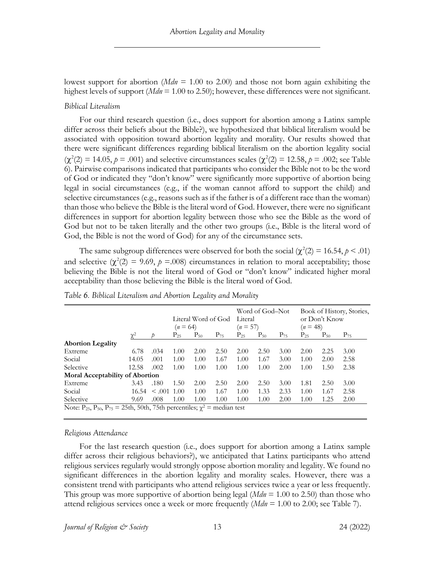lowest support for abortion (*Mdn* = 1.00 to 2.00) and those not born again exhibiting the highest levels of support (*Mdn* = 1.00 to 2.50); however, these differences were not significant.

#### *Biblical Literalism*

For our third research question (i.e., does support for abortion among a Latinx sample differ across their beliefs about the Bible?), we hypothesized that biblical literalism would be associated with opposition toward abortion legality and morality. Our results showed that there were significant differences regarding biblical literalism on the abortion legality social  $(\chi^2(2) = 14.05, p = .001)$  and selective circumstances scales  $(\chi^2(2) = 12.58, p = .002)$ ; see Table 6). Pairwise comparisons indicated that participants who consider the Bible not to be the word of God or indicated they "don't know" were significantly more supportive of abortion being legal in social circumstances (e.g., if the woman cannot afford to support the child) and selective circumstances (e.g., reasons such as if the father is of a different race than the woman) than those who believe the Bible is the literal word of God. However, there were no significant differences in support for abortion legality between those who see the Bible as the word of God but not to be taken literally and the other two groups (i.e., Bible is the literal word of God, the Bible is not the word of God) for any of the circumstance sets.

The same subgroup differences were observed for both the social  $(\chi^2(2) = 16.54, p < .01)$ and selective  $(\chi^2(2) = 9.69, p = .008)$  circumstances in relation to moral acceptability; those believing the Bible is not the literal word of God or "don't know" indicated higher moral acceptability than those believing the Bible is the literal word of God.

|                                        |          |             | $(n = 64)$ | Literal Word of God |          | Literal<br>$(n = 57)$ | Word of God–Not |          | $(n=48)$ | or Don't Know | Book of History, Stories, |
|----------------------------------------|----------|-------------|------------|---------------------|----------|-----------------------|-----------------|----------|----------|---------------|---------------------------|
|                                        | $\gamma$ |             | $P_{25}$   | $P_{50}$            | $P_{75}$ | $P_{25}$              | $P_{50}$        | $P_{75}$ | $P_{25}$ | $P_{50}$      | $P_{75}$                  |
| <b>Abortion Legality</b>               |          |             |            |                     |          |                       |                 |          |          |               |                           |
| Extreme                                | 6.78     | .034        | 1.00       | 2.00                | 2.50     | 2.00                  | 2.50            | 3.00     | 2.00     | 2.25          | 3.00                      |
| Social                                 | 14.05    | .001        | 1.00       | 1.00                | 1.67     | 1.00                  | 1.67            | 3.00     | 1.00     | 2.00          | 2.58                      |
| Selective                              | 12.58    | .002        | 1.00       | 1.00                | 1.00     | 1.00                  | 1.00            | 2.00     | 1.00     | 1.50          | 2.38                      |
| <b>Moral Acceptability of Abortion</b> |          |             |            |                     |          |                       |                 |          |          |               |                           |
| Extreme                                | 3.43     | .180        | 1.50       | 2.00                | 2.50     | 2.00                  | 2.50            | 3.00     | 1.81     | 2.50          | 3.00                      |
| Social                                 | 16.54    | $\leq .001$ | 1.00       | 1.00                | 1.67     | 1.00                  | 1.33            | 2.33     | 1.00     | 1.67          | 2.58                      |
| Selective                              | 9.69     | .008        | 1.00       | 1.00                | 1.00     | 1.00                  | 1.00            | 2.00     | 1.00     | 1.25          | 2.00                      |

*Table 6. Biblical Literalism and Abortion Legality and Morality*

#### *Religious Attendance*

For the last research question (i.e., does support for abortion among a Latinx sample differ across their religious behaviors?), we anticipated that Latinx participants who attend religious services regularly would strongly oppose abortion morality and legality. We found no significant differences in the abortion legality and morality scales. However, there was a consistent trend with participants who attend religious services twice a year or less frequently. This group was more supportive of abortion being legal (*Mdn* = 1.00 to 2.50) than those who attend religious services once a week or more frequently (*Mdn* = 1.00 to 2.00; see Table 7).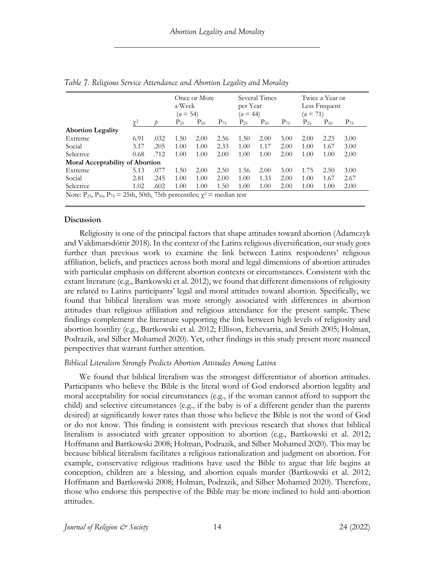|                                        |          |      | Once or More<br>a Week<br>$(n = 54)$ |          |          | Several Times<br>per Year<br>$(n = 44)$ |          |          | Twice a Year or<br>Less Frequent<br>$(n = 71)$ |          |          |
|----------------------------------------|----------|------|--------------------------------------|----------|----------|-----------------------------------------|----------|----------|------------------------------------------------|----------|----------|
|                                        | $\chi^2$ |      | $P_{25}$                             | $P_{50}$ | $P_{75}$ | $P_{25}$                                | $P_{50}$ | $P_{75}$ | $P_{25}$                                       | $P_{50}$ | $P_{75}$ |
| <b>Abortion Legality</b>               |          |      |                                      |          |          |                                         |          |          |                                                |          |          |
| Extreme                                | 6.91     | .032 | 1.50                                 | 2.00     | 2.56     | 1.50                                    | 2.00     | 3.00     | 2.00                                           | 2.25     | 3.00     |
| Social                                 | 3.17     | .205 | 1.00                                 | 1.00     | 2.33     | 1.00                                    | 1.17     | 2.00     | 1.00                                           | 1.67     | 3.00     |
| Selective                              | 0.68     | .712 | 1.00                                 | 1.00     | 2.00     | 1.00                                    | 1.00     | 2.00     | 1.00                                           | 1.00     | 2.00     |
| <b>Moral Acceptability of Abortion</b> |          |      |                                      |          |          |                                         |          |          |                                                |          |          |
| Extreme                                | 5.13     | .077 | 1.50                                 | 2.00     | 2.50     | 1.56                                    | 2.00     | 3.00     | 1.75                                           | 2.50     | 3.00     |
| Social                                 | 2.81     | .245 | 1.00                                 | 1.00     | 2.00     | 1.00                                    | 1.33     | 2.00     | 1.00                                           | 1.67     | 2.67     |
| Selective                              | 1.02     | .602 | 1.00                                 | 1.00     | 1.50     | 1.00                                    | 1.00     | 2.00     | 1.00                                           | 1.00     | 2.00     |

*Table 7. Religious Service Attendance and Abortion Legality and Morality*

## **Discussion**

Religiosity is one of the principal factors that shape attitudes toward abortion (Adamczyk and Valdimarsdóttir 2018). In the context of the Latinx religious diversification, our study goes further than previous work to examine the link between Latinx respondents' religious affiliation, beliefs, and practices across both moral and legal dimensions of abortion attitudes with particular emphasis on different abortion contexts or circumstances. Consistent with the extant literature (e.g., Bartkowski et al. 2012), we found that different dimensions of religiosity are related to Latinx participants' legal and moral attitudes toward abortion. Specifically, we found that biblical literalism was more strongly associated with differences in abortion attitudes than religious affiliation and religious attendance for the present sample. These findings complement the literature supporting the link between high levels of religiosity and abortion hostility (e.g., Bartkowski et al. 2012; Ellison, Echevarria, and Smith 2005; Holman, Podrazik, and Silber Mohamed 2020). Yet, other findings in this study present more nuanced perspectives that warrant further attention.

## *Biblical Literalism Strongly Predicts Abortion Attitudes Among Latinx*

We found that biblical literalism was the strongest differentiator of abortion attitudes. Participants who believe the Bible is the literal word of God endorsed abortion legality and moral acceptability for social circumstances (e.g., if the woman cannot afford to support the child) and selective circumstances (e.g., if the baby is of a different gender than the parents desired) at significantly lower rates than those who believe the Bible is not the word of God or do not know. This finding is consistent with previous research that shows that biblical literalism is associated with greater opposition to abortion (e.g., Bartkowski et al. 2012; Hoffmann and Bartkowski 2008; Holman, Podrazik, and Silber Mohamed 2020). This may be because biblical literalism facilitates a religious rationalization and judgment on abortion. For example, conservative religious traditions have used the Bible to argue that life begins at conception, children are a blessing, and abortion equals murder (Bartkowski et al. 2012; Hoffmann and Bartkowski 2008; Holman, Podrazik, and Silber Mohamed 2020). Therefore, those who endorse this perspective of the Bible may be more inclined to hold anti-abortion attitudes.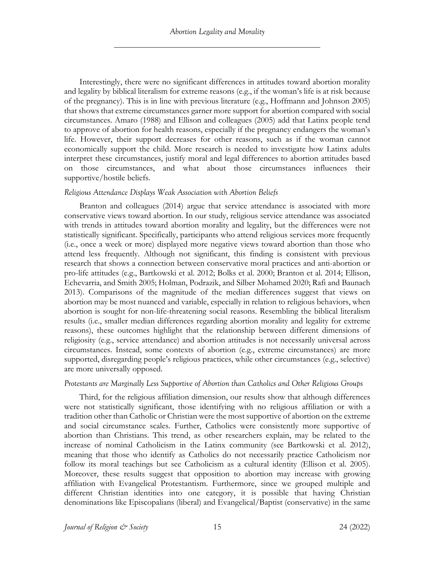Interestingly, there were no significant differences in attitudes toward abortion morality and legality by biblical literalism for extreme reasons (e.g., if the woman's life is at risk because of the pregnancy). This is in line with previous literature (e.g., Hoffmann and Johnson 2005) that shows that extreme circumstances garner more support for abortion compared with social circumstances. Amaro (1988) and Ellison and colleagues (2005) add that Latinx people tend to approve of abortion for health reasons, especially if the pregnancy endangers the woman's life. However, their support decreases for other reasons, such as if the woman cannot economically support the child. More research is needed to investigate how Latinx adults interpret these circumstances, justify moral and legal differences to abortion attitudes based on those circumstances, and what about those circumstances influences their supportive/hostile beliefs.

#### *Religious Attendance Displays Weak Association with Abortion Beliefs*

Branton and colleagues (2014) argue that service attendance is associated with more conservative views toward abortion. In our study, religious service attendance was associated with trends in attitudes toward abortion morality and legality, but the differences were not statistically significant. Specifically, participants who attend religious services more frequently (i.e., once a week or more) displayed more negative views toward abortion than those who attend less frequently. Although not significant, this finding is consistent with previous research that shows a connection between conservative moral practices and anti-abortion or pro-life attitudes (e.g., Bartkowski et al. 2012; Bolks et al. 2000; Branton et al. 2014; Ellison, Echevarria, and Smith 2005; Holman, Podrazik, and Silber Mohamed 2020; Rafi and Baunach 2013). Comparisons of the magnitude of the median differences suggest that views on abortion may be most nuanced and variable, especially in relation to religious behaviors, when abortion is sought for non-life-threatening social reasons. Resembling the biblical literalism results (i.e., smaller median differences regarding abortion morality and legality for extreme reasons), these outcomes highlight that the relationship between different dimensions of religiosity (e.g., service attendance) and abortion attitudes is not necessarily universal across circumstances. Instead, some contexts of abortion (e.g., extreme circumstances) are more supported, disregarding people's religious practices, while other circumstances (e.g., selective) are more universally opposed.

## *Protestants are Marginally Less Supportive of Abortion than Catholics and Other Religious Groups*

Third, for the religious affiliation dimension, our results show that although differences were not statistically significant, those identifying with no religious affiliation or with a tradition other than Catholic or Christian were the most supportive of abortion on the extreme and social circumstance scales. Further, Catholics were consistently more supportive of abortion than Christians. This trend, as other researchers explain, may be related to the increase of nominal Catholicism in the Latinx community (see Bartkowski et al. 2012), meaning that those who identify as Catholics do not necessarily practice Catholicism nor follow its moral teachings but see Catholicism as a cultural identity (Ellison et al. 2005). Moreover, these results suggest that opposition to abortion may increase with growing affiliation with Evangelical Protestantism. Furthermore, since we grouped multiple and different Christian identities into one category, it is possible that having Christian denominations like Episcopalians (liberal) and Evangelical/Baptist (conservative) in the same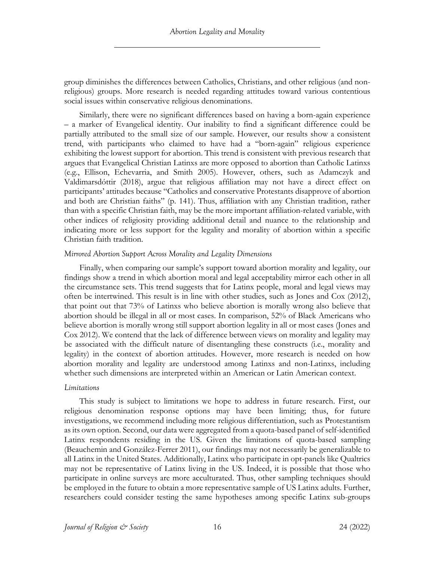group diminishes the differences between Catholics, Christians, and other religious (and nonreligious) groups. More research is needed regarding attitudes toward various contentious social issues within conservative religious denominations.

Similarly, there were no significant differences based on having a born-again experience – a marker of Evangelical identity. Our inability to find a significant difference could be partially attributed to the small size of our sample. However, our results show a consistent trend, with participants who claimed to have had a "born-again" religious experience exhibiting the lowest support for abortion. This trend is consistent with previous research that argues that Evangelical Christian Latinxs are more opposed to abortion than Catholic Latinxs (e.g., Ellison, Echevarria, and Smith 2005). However, others, such as Adamczyk and Valdimarsdóttir (2018), argue that religious affiliation may not have a direct effect on participants' attitudes because "Catholics and conservative Protestants disapprove of abortion and both are Christian faiths" (p. 141). Thus, affiliation with any Christian tradition, rather than with a specific Christian faith, may be the more important affiliation-related variable, with other indices of religiosity providing additional detail and nuance to the relationship and indicating more or less support for the legality and morality of abortion within a specific Christian faith tradition.

#### *Mirrored Abortion Support Across Morality and Legality Dimensions*

Finally, when comparing our sample's support toward abortion morality and legality, our findings show a trend in which abortion moral and legal acceptability mirror each other in all the circumstance sets. This trend suggests that for Latinx people, moral and legal views may often be intertwined. This result is in line with other studies, such as Jones and Cox (2012), that point out that 73% of Latinxs who believe abortion is morally wrong also believe that abortion should be illegal in all or most cases. In comparison, 52% of Black Americans who believe abortion is morally wrong still support abortion legality in all or most cases (Jones and Cox 2012). We contend that the lack of difference between views on morality and legality may be associated with the difficult nature of disentangling these constructs (i.e., morality and legality) in the context of abortion attitudes. However, more research is needed on how abortion morality and legality are understood among Latinxs and non-Latinxs, including whether such dimensions are interpreted within an American or Latin American context.

#### *Limitations*

This study is subject to limitations we hope to address in future research. First, our religious denomination response options may have been limiting; thus, for future investigations, we recommend including more religious differentiation, such as Protestantism as its own option. Second, our data were aggregated from a quota-based panel of self-identified Latinx respondents residing in the US. Given the limitations of quota-based sampling (Beauchemin and González-Ferrer 2011), our findings may not necessarily be generalizable to all Latinx in the United States. Additionally, Latinx who participate in opt-panels like Qualtrics may not be representative of Latinx living in the US. Indeed, it is possible that those who participate in online surveys are more acculturated. Thus, other sampling techniques should be employed in the future to obtain a more representative sample of US Latinx adults. Further, researchers could consider testing the same hypotheses among specific Latinx sub-groups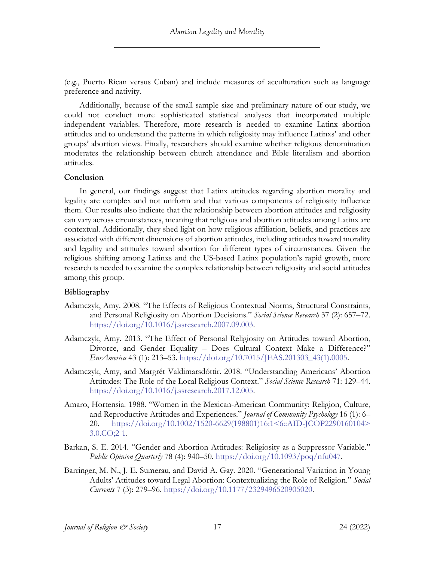(e.g., Puerto Rican versus Cuban) and include measures of acculturation such as language preference and nativity.

Additionally, because of the small sample size and preliminary nature of our study, we could not conduct more sophisticated statistical analyses that incorporated multiple independent variables. Therefore, more research is needed to examine Latinx abortion attitudes and to understand the patterns in which religiosity may influence Latinxs' and other groups' abortion views. Finally, researchers should examine whether religious denomination moderates the relationship between church attendance and Bible literalism and abortion attitudes.

#### **Conclusion**

In general, our findings suggest that Latinx attitudes regarding abortion morality and legality are complex and not uniform and that various components of religiosity influence them. Our results also indicate that the relationship between abortion attitudes and religiosity can vary across circumstances, meaning that religious and abortion attitudes among Latinx are contextual. Additionally, they shed light on how religious affiliation, beliefs, and practices are associated with different dimensions of abortion attitudes, including attitudes toward morality and legality and attitudes toward abortion for different types of circumstances. Given the religious shifting among Latinxs and the US-based Latinx population's rapid growth, more research is needed to examine the complex relationship between religiosity and social attitudes among this group.

## **Bibliography**

- Adamczyk, Amy. 2008. "The Effects of Religious Contextual Norms, Structural Constraints, and Personal Religiosity on Abortion Decisions." *Social Science Research* 37 (2): 657–72. https://doi.org/10.1016/j.ssresearch.2007.09.003.
- Adamczyk, Amy. 2013. "The Effect of Personal Religiosity on Attitudes toward Abortion, Divorce, and Gender Equality – Does Cultural Context Make a Difference?" *EurAmerica* 43 (1): 213–53. https://doi.org/10.7015/JEAS.201303\_43(1).0005.
- Adamczyk, Amy, and Margrét Valdimarsdóttir. 2018. "Understanding Americans' Abortion Attitudes: The Role of the Local Religious Context." *Social Science Research* 71: 129–44. https://doi.org/10.1016/j.ssresearch.2017.12.005.
- Amaro, Hortensia. 1988. "Women in the Mexican-American Community: Religion, Culture, and Reproductive Attitudes and Experiences." *Journal of Community Psychology* 16 (1): 6– 20. https://doi.org/10.1002/1520-6629(198801)16:1<6::AID-JCOP2290160104> 3.0.CO;2-1.
- Barkan, S. E. 2014. "Gender and Abortion Attitudes: Religiosity as a Suppressor Variable." *Public Opinion Quarterly* 78 (4): 940–50. https://doi.org/10.1093/poq/nfu047.
- Barringer, M. N., J. E. Sumerau, and David A. Gay. 2020. "Generational Variation in Young Adults' Attitudes toward Legal Abortion: Contextualizing the Role of Religion." *Social Currents* 7 (3): 279–96. https://doi.org/10.1177/2329496520905020.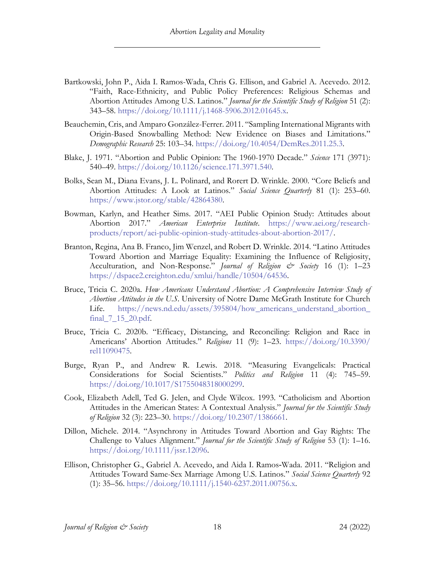- Bartkowski, John P., Aida I. Ramos-Wada, Chris G. Ellison, and Gabriel A. Acevedo. 2012. "Faith, Race-Ethnicity, and Public Policy Preferences: Religious Schemas and Abortion Attitudes Among U.S. Latinos." *Journal for the Scientific Study of Religion* 51 (2): 343–58. https://doi.org/10.1111/j.1468-5906.2012.01645.x.
- Beauchemin, Cris, and Amparo González-Ferrer. 2011. "Sampling International Migrants with Origin-Based Snowballing Method: New Evidence on Biases and Limitations." *Demographic Research* 25: 103–34. https://doi.org/10.4054/DemRes.2011.25.3.
- Blake, J. 1971. "Abortion and Public Opinion: The 1960-1970 Decade." *Science* 171 (3971): 540–49. https://doi.org/10.1126/science.171.3971.540.
- Bolks, Sean M., Diana Evans, J. L. Polinard, and Rorert D. Wrinkle. 2000. "Core Beliefs and Abortion Attitudes: A Look at Latinos." *Social Science Quarterly* 81 (1): 253–60. https://www.jstor.org/stable/42864380.
- Bowman, Karlyn, and Heather Sims. 2017. "AEI Public Opinion Study: Attitudes about Abortion 2017." *American Enterprise Institute*. https://www.aei.org/researchproducts/report/aei-public-opinion-study-attitudes-about-abortion-2017/.
- Branton, Regina, Ana B. Franco, Jim Wenzel, and Robert D. Wrinkle. 2014. "Latino Attitudes Toward Abortion and Marriage Equality: Examining the Influence of Religiosity, Acculturation, and Non-Response." *Journal of Religion & Society* 16 (1): 1–23 https://dspace2.creighton.edu/xmlui/handle/10504/64536.
- Bruce, Tricia C. 2020a. *How Americans Understand Abortion: A Comprehensive Interview Study of Abortion Attitudes in the U.S*. University of Notre Dame McGrath Institute for Church Life. https://news.nd.edu/assets/395804/how\_americans\_understand\_abortion\_ final\_7\_15\_20.pdf.
- Bruce, Tricia C. 2020b. "Efficacy, Distancing, and Reconciling: Religion and Race in Americans' Abortion Attitudes." *Religions* 11 (9): 1–23. https://doi.org/10.3390/ rel11090475.
- Burge, Ryan P., and Andrew R. Lewis. 2018. "Measuring Evangelicals: Practical Considerations for Social Scientists." *Politics and Religion* 11 (4): 745–59. https://doi.org/10.1017/S1755048318000299.
- Cook, Elizabeth Adell, Ted G. Jelen, and Clyde Wilcox. 1993. "Catholicism and Abortion Attitudes in the American States: A Contextual Analysis." *Journal for the Scientific Study of Religion* 32 (3): 223–30. https://doi.org/10.2307/1386661.
- Dillon, Michele. 2014. "Asynchrony in Attitudes Toward Abortion and Gay Rights: The Challenge to Values Alignment." *Journal for the Scientific Study of Religion* 53 (1): 1–16. https://doi.org/10.1111/jssr.12096.
- Ellison, Christopher G., Gabriel A. Acevedo, and Aida I. Ramos‐Wada. 2011. "Religion and Attitudes Toward Same-Sex Marriage Among U.S. Latinos." *Social Science Quarterly* 92 (1): 35–56. https://doi.org/10.1111/j.1540-6237.2011.00756.x.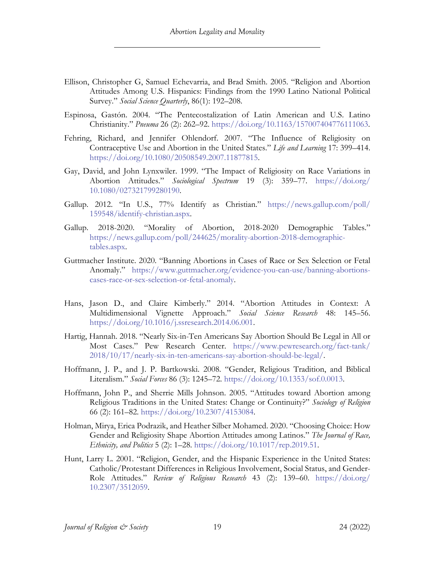- Ellison, Christopher G, Samuel Echevarria, and Brad Smith. 2005. "Religion and Abortion Attitudes Among U.S. Hispanics: Findings from the 1990 Latino National Political Survey." *Social Science Quarterly*, 86(1): 192–208.
- Espinosa, Gastón. 2004. "The Pentecostalization of Latin American and U.S. Latino Christianity." *Pneuma* 26 (2): 262–92. https://doi.org/10.1163/157007404776111063.
- Fehring, Richard, and Jennifer Ohlendorf. 2007. "The Influence of Religiosity on Contraceptive Use and Abortion in the United States." *Life and Learning* 17: 399–414. https://doi.org/10.1080/20508549.2007.11877815.
- Gay, David, and John Lynxwiler. 1999. "The Impact of Religiosity on Race Variations in Abortion Attitudes." *Sociological Spectrum* 19 (3): 359–77. https://doi.org/ 10.1080/027321799280190.
- Gallup. 2012. "In U.S., 77% Identify as Christian." https://news.gallup.com/poll/ 159548/identify-christian.aspx.
- Gallup. 2018-2020. "Morality of Abortion, 2018-2020 Demographic Tables." https://news.gallup.com/poll/244625/morality-abortion-2018-demographictables.aspx.
- Guttmacher Institute. 2020. "Banning Abortions in Cases of Race or Sex Selection or Fetal Anomaly." https://www.guttmacher.org/evidence-you-can-use/banning-abortionscases-race-or-sex-selection-or-fetal-anomaly.
- Hans, Jason D., and Claire Kimberly." 2014. "Abortion Attitudes in Context: A Multidimensional Vignette Approach." *Social Science Research* 48: 145–56. https://doi.org/10.1016/j.ssresearch.2014.06.001.
- Hartig, Hannah. 2018. "Nearly Six-in-Ten Americans Say Abortion Should Be Legal in All or Most Cases." Pew Research Center. https://www.pewresearch.org/fact-tank/ 2018/10/17/nearly-six-in-ten-americans-say-abortion-should-be-legal/.
- Hoffmann, J. P., and J. P. Bartkowski. 2008. "Gender, Religious Tradition, and Biblical Literalism." *Social Forces* 86 (3): 1245–72. https://doi.org/10.1353/sof.0.0013.
- Hoffmann, John P., and Sherrie Mills Johnson. 2005. "Attitudes toward Abortion among Religious Traditions in the United States: Change or Continuity?" *Sociology of Religion* 66 (2): 161–82. https://doi.org/10.2307/4153084.
- Holman, Mirya, Erica Podrazik, and Heather Silber Mohamed. 2020. "Choosing Choice: How Gender and Religiosity Shape Abortion Attitudes among Latinos." *The Journal of Race, Ethnicity, and Politics* 5 (2): 1–28. https://doi.org/10.1017/rep.2019.51.
- Hunt, Larry L. 2001. "Religion, Gender, and the Hispanic Experience in the United States: Catholic/Protestant Differences in Religious Involvement, Social Status, and Gender-Role Attitudes." *Review of Religious Research* 43 (2): 139–60. https://doi.org/ 10.2307/3512059.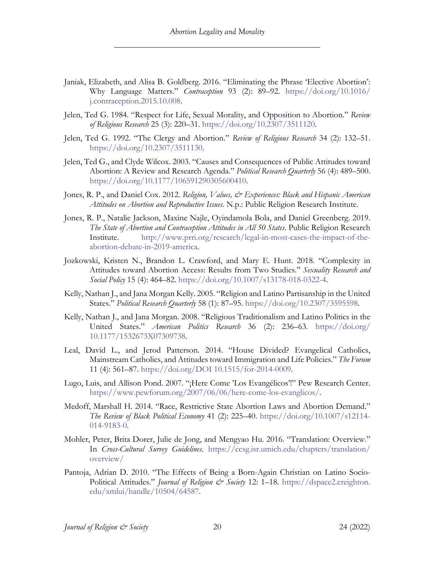- Janiak, Elizabeth, and Alisa B. Goldberg. 2016. "Eliminating the Phrase 'Elective Abortion': Why Language Matters." *Contraception* 93 (2): 89–92. https://doi.org/10.1016/ j.contraception.2015.10.008.
- Jelen, Ted G. 1984. "Respect for Life, Sexual Morality, and Opposition to Abortion." *Review of Religious Research* 25 (3): 220–31. https://doi.org/10.2307/3511120.
- Jelen, Ted G. 1992. "The Clergy and Abortion." *Review of Religious Research* 34 (2): 132–51. https://doi.org/10.2307/3511130.
- Jelen, Ted G., and Clyde Wilcox. 2003. "Causes and Consequences of Public Attitudes toward Abortion: A Review and Research Agenda." *Political Research Quarterly* 56 (4): 489–500. https://doi.org/10.1177/106591290305600410.
- Jones, R. P., and Daniel Cox. 2012. *Religion, Values, & Experiences: Black and Hispanic American Attitudes on Abortion and Reproductive Issues*. N.p.: Public Religion Research Institute.
- Jones, R. P., Natalie Jackson, Maxine Najle, Oyindamola Bola, and Daniel Greenberg. 2019. *The State of Abortion and Contraception Attitudes in All 50 States*. Public Religion Research Institute. http://www.prri.org/research/legal-in-most-cases-the-impact-of-theabortion-debate-in-2019-america.
- Jozkowski, Kristen N., Brandon L. Crawford, and Mary E. Hunt. 2018. "Complexity in Attitudes toward Abortion Access: Results from Two Studies." *Sexuality Research and Social Policy* 15 (4): 464–82. https://doi.org/10.1007/s13178-018-0322-4.
- Kelly, Nathan J., and Jana Morgan Kelly. 2005. "Religion and Latino Partisanship in the United States." *Political Research Quarterly* 58 (1): 87–95. https://doi.org/10.2307/3595598.
- Kelly, Nathan J., and Jana Morgan. 2008. "Religious Traditionalism and Latino Politics in the United States." *American Politics Research* 36 (2): 236–63. https://doi.org/ 10.1177/1532673X07309738.
- Leal, David L., and Jerod Patterson. 2014. "House Divided? Evangelical Catholics, Mainstream Catholics, and Attitudes toward Immigration and Life Policies." *The Forum* 11 (4): 561–87. https://doi.org/DOI 10.1515/for-2014-0009.
- Lugo, Luis, and Allison Pond. 2007. "¡Here Come 'Los Evangélicos'!" Pew Research Center. https://www.pewforum.org/2007/06/06/here-come-los-evanglicos/.
- Medoff, Marshall H. 2014. "Race, Restrictive State Abortion Laws and Abortion Demand." *The Review of Black Political Economy* 41 (2): 225–40. https://doi.org/10.1007/s12114- 014-9183-0.
- Mohler, Peter, Brita Dorer, Julie de Jong, and Mengyao Hu. 2016. "Translation: Overview." In *Cross-Cultural Survey Guidelines*. https://ccsg.isr.umich.edu/chapters/translation/ overview/
- Pantoja, Adrian D. 2010. "The Effects of Being a Born-Again Christian on Latino Socio-Political Attitudes." *Journal of Religion & Society* 12: 1-18. https://dspace2.creighton. edu/xmlui/handle/10504/64587.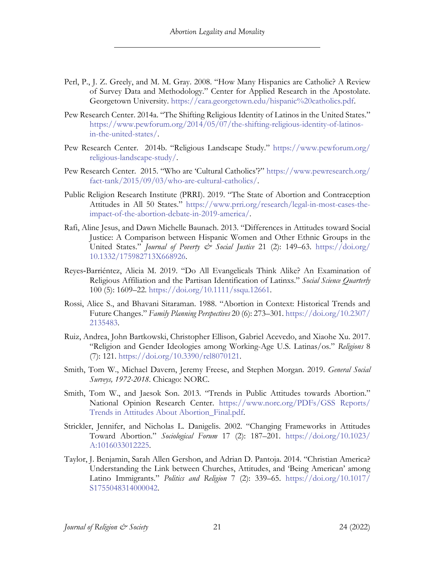- Perl, P., J. Z. Greely, and M. M. Gray. 2008. "How Many Hispanics are Catholic? A Review of Survey Data and Methodology." Center for Applied Research in the Apostolate. Georgetown University. https://cara.georgetown.edu/hispanic%20catholics.pdf.
- Pew Research Center. 2014a. "The Shifting Religious Identity of Latinos in the United States." https://www.pewforum.org/2014/05/07/the-shifting-religious-identity-of-latinosin-the-united-states/.
- Pew Research Center. 2014b. "Religious Landscape Study." https://www.pewforum.org/ religious-landscape-study/.
- Pew Research Center. 2015. "Who are 'Cultural Catholics'?" https://www.pewresearch.org/ fact-tank/2015/09/03/who-are-cultural-catholics/.
- Public Religion Research Institute (PRRI). 2019. "The State of Abortion and Contraception Attitudes in All 50 States." https://www.prri.org/research/legal-in-most-cases-theimpact-of-the-abortion-debate-in-2019-america/.
- Rafi, Aline Jesus, and Dawn Michelle Baunach. 2013. "Differences in Attitudes toward Social Justice: A Comparison between Hispanic Women and Other Ethnic Groups in the United States." *Journal of Poverty & Social Justice* 21 (2): 149–63. https://doi.org/ 10.1332/175982713X668926.
- Reyes‐Barriéntez, Alicia M. 2019. "Do All Evangelicals Think Alike? An Examination of Religious Affiliation and the Partisan Identification of Latinxs." *Social Science Quarterly* 100 (5): 1609–22. https://doi.org/10.1111/ssqu.12661.
- Rossi, Alice S., and Bhavani Sitaraman. 1988. "Abortion in Context: Historical Trends and Future Changes." *Family Planning Perspectives* 20 (6): 273–301. https://doi.org/10.2307/ 2135483.
- Ruiz, Andrea, John Bartkowski, Christopher Ellison, Gabriel Acevedo, and Xiaohe Xu. 2017. "Religion and Gender Ideologies among Working-Age U.S. Latinas/os." *Religions* 8 (7): 121. https://doi.org/10.3390/rel8070121.
- Smith, Tom W., Michael Davern, Jeremy Freese, and Stephen Morgan. 2019. *General Social Surveys, 1972-2018*. Chicago: NORC.
- Smith, Tom W., and Jaesok Son. 2013. "Trends in Public Attitudes towards Abortion." National Opinion Research Center. https://www.norc.org/PDFs/GSS Reports/ Trends in Attitudes About Abortion\_Final.pdf.
- Strickler, Jennifer, and Nicholas L. Danigelis. 2002. "Changing Frameworks in Attitudes Toward Abortion." *Sociological Forum* 17 (2): 187–201. https://doi.org/10.1023/ A:1016033012225.
- Taylor, J. Benjamin, Sarah Allen Gershon, and Adrian D. Pantoja. 2014. "Christian America? Understanding the Link between Churches, Attitudes, and 'Being American' among Latino Immigrants." *Politics and Religion* 7 (2): 339–65. https://doi.org/10.1017/ S1755048314000042.